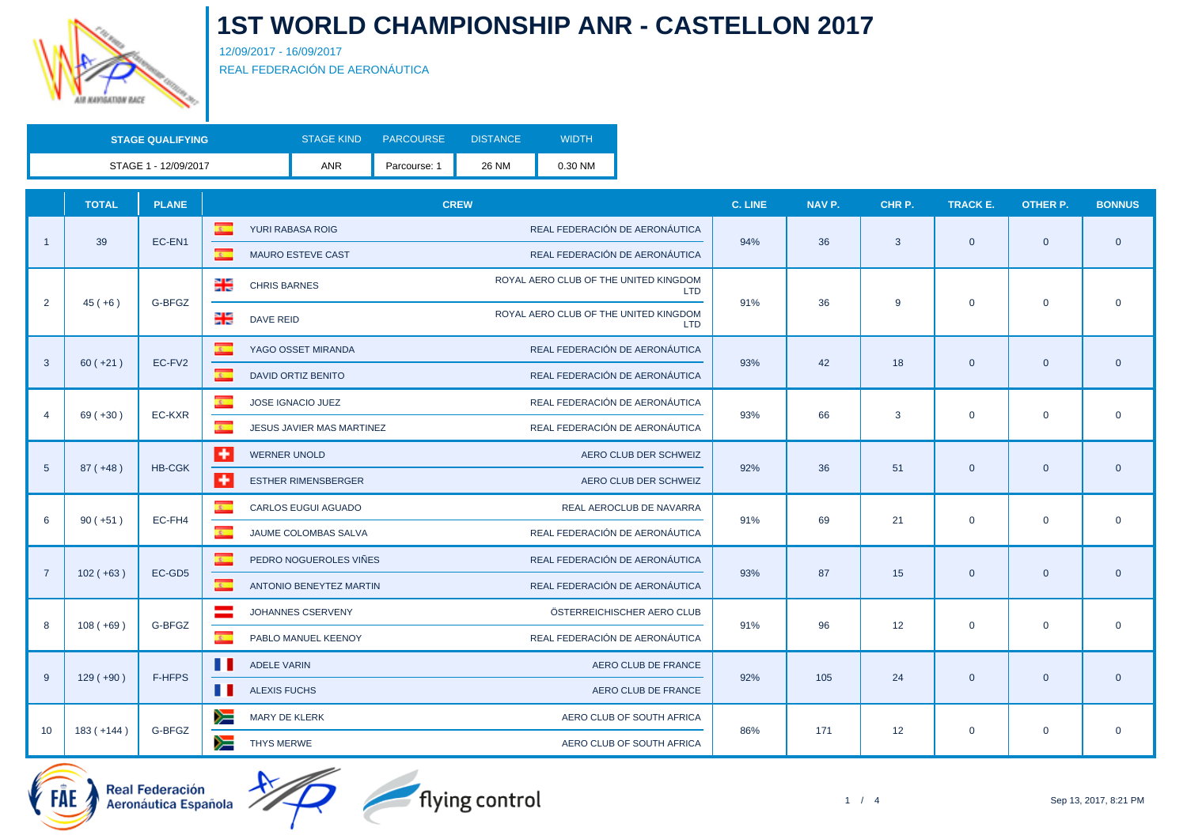

12/09/2017 - 16/09/2017 REAL FEDERACIÓN DE AERONÁUTICA

| <b>STAGE QUALIFYING</b> | <b>STAGE KIND</b> | <b>PARCOURSE</b> | DISTANCE | <b>WIDTH</b> |
|-------------------------|-------------------|------------------|----------|--------------|
| STAGE 1 - 12/09/2017    | <b>ANR</b>        | Parcourse: 1     | 26 NM    | 0.30 NM      |

|                | <b>TOTAL</b>                  | <b>PLANE</b>  | <b>CREW</b>                                          |                                                            | NAV P. | CHR P. | <b>TRACK E.</b> | <b>OTHER P.</b> | <b>BONNUS</b>  |
|----------------|-------------------------------|---------------|------------------------------------------------------|------------------------------------------------------------|--------|--------|-----------------|-----------------|----------------|
|                |                               | EC-EN1        | $\mathbf{z}$<br>YURI RABASA ROIG                     | REAL FEDERACIÓN DE AERONÁUTICA<br>94%                      |        | 3      | $\mathbf{0}$    | $\mathbf{0}$    |                |
|                | 39                            |               | $\mathbb{R}^+$<br><b>MAURO ESTEVE CAST</b>           | REAL FEDERACIÓN DE AERONÁUTICA                             | 36     |        |                 |                 | $\overline{0}$ |
|                |                               |               | ∺<br><b>CHRIS BARNES</b>                             | ROYAL AERO CLUB OF THE UNITED KINGDOM<br><b>LTD</b>        |        |        |                 |                 |                |
|                | 2<br>$45(+6)$                 | G-BFGZ        | ∺<br><b>DAVE REID</b>                                | 91%<br>ROYAL AERO CLUB OF THE UNITED KINGDOM<br><b>LTD</b> | 36     | 9      | $\mathbf 0$     | $\mathbf 0$     | $\overline{0}$ |
|                |                               |               | $\overline{\mathbf{z}}$<br>YAGO OSSET MIRANDA        | REAL FEDERACIÓN DE AERONÁUTICA                             |        |        |                 |                 |                |
| 3              | $60 (+21)$                    | EC-FV2        | $\overline{\mathbf{z}}$<br><b>DAVID ORTIZ BENITO</b> | 93%<br>REAL FEDERACIÓN DE AERONÁUTICA                      | 42     | 18     | $\mathbf{0}$    | $\overline{0}$  | $\overline{0}$ |
|                |                               | EC-KXR        | $\overline{\mathbf{c}}$ .<br>JOSE IGNACIO JUEZ       | REAL FEDERACIÓN DE AERONÁUTICA                             |        |        | $\mathbf 0$     | $\mathbf 0$     |                |
| $\overline{4}$ | $69 (+30)$                    |               | $\overline{R}$<br>JESUS JAVIER MAS MARTINEZ          | 93%<br>REAL FEDERACIÓN DE AERONÁUTICA                      | 66     | 3      |                 |                 | $\mathbf 0$    |
|                | $87 (+48)$<br>$5\phantom{.0}$ | <b>HB-CGK</b> | l +<br><b>WERNER UNOLD</b>                           | AERO CLUB DER SCHWEIZ                                      |        | 51     | $\mathbf{0}$    | $\mathbf 0$     |                |
|                |                               |               | $\overline{1}$<br><b>ESTHER RIMENSBERGER</b>         | 92%<br>AERO CLUB DER SCHWEIZ                               | 36     |        |                 |                 | $\overline{0}$ |
| 6              | $90 (+51)$                    |               | $\overline{\mathbf{c}}$ .<br>CARLOS EUGUI AGUADO     | REAL AEROCLUB DE NAVARRA<br>91%                            |        | 21     | $\mathbf 0$     | $\mathbf 0$     |                |
|                |                               | EC-FH4        | <b>R</b><br>JAUME COLOMBAS SALVA                     | REAL FEDERACIÓN DE AERONÁUTICA                             | 69     |        |                 |                 | $\mathbf 0$    |
| $\overline{7}$ |                               | EC-GD5        | $\overline{\mathbf{z}}$<br>PEDRO NOGUEROLES VIÑES    | REAL FEDERACIÓN DE AERONÁUTICA<br>93%                      | 87     |        |                 |                 |                |
|                | $102 (+63)$                   |               | $\overline{\mathbf{R}}$<br>ANTONIO BENEYTEZ MARTIN   | REAL FEDERACIÓN DE AERONÁUTICA                             |        | 15     | $\mathbf{0}$    | $\mathbf 0$     | $\overline{0}$ |
| 8              | $108 (+69)$                   | G-BFGZ        | JOHANNES CSERVENY                                    | ÖSTERREICHISCHER AERO CLUB<br>91%                          | 96     |        | $\mathbf 0$     | $\mathbf 0$     | $\mathbf 0$    |
|                |                               |               | <b>R</b><br>PABLO MANUEL KEENOY                      | REAL FEDERACIÓN DE AERONÁUTICA                             |        | 12     |                 |                 |                |
| 9              | $129(+90)$                    | F-HFPS        | . .<br><b>ADELE VARIN</b>                            | AERO CLUB DE FRANCE<br>92%                                 | 105    | 24     |                 |                 |                |
|                |                               |               | . .<br><b>ALEXIS FUCHS</b>                           | AERO CLUB DE FRANCE                                        |        |        | $\mathbf{0}$    | $\mathbf 0$     | $\overline{0}$ |
|                | $183 (+144)$                  |               | ➣<br>MARY DE KLERK                                   | AERO CLUB OF SOUTH AFRICA<br>86%                           | 171    |        |                 |                 |                |
| 10             |                               | G-BFGZ        | y≡<br>THYS MERWE                                     | AERO CLUB OF SOUTH AFRICA                                  |        | 12     | $\mathbf 0$     | $\mathbf 0$     | $\mathbf 0$    |

flying control

اسر<br>/- Real Federación<br>/- Aeronáutica Española

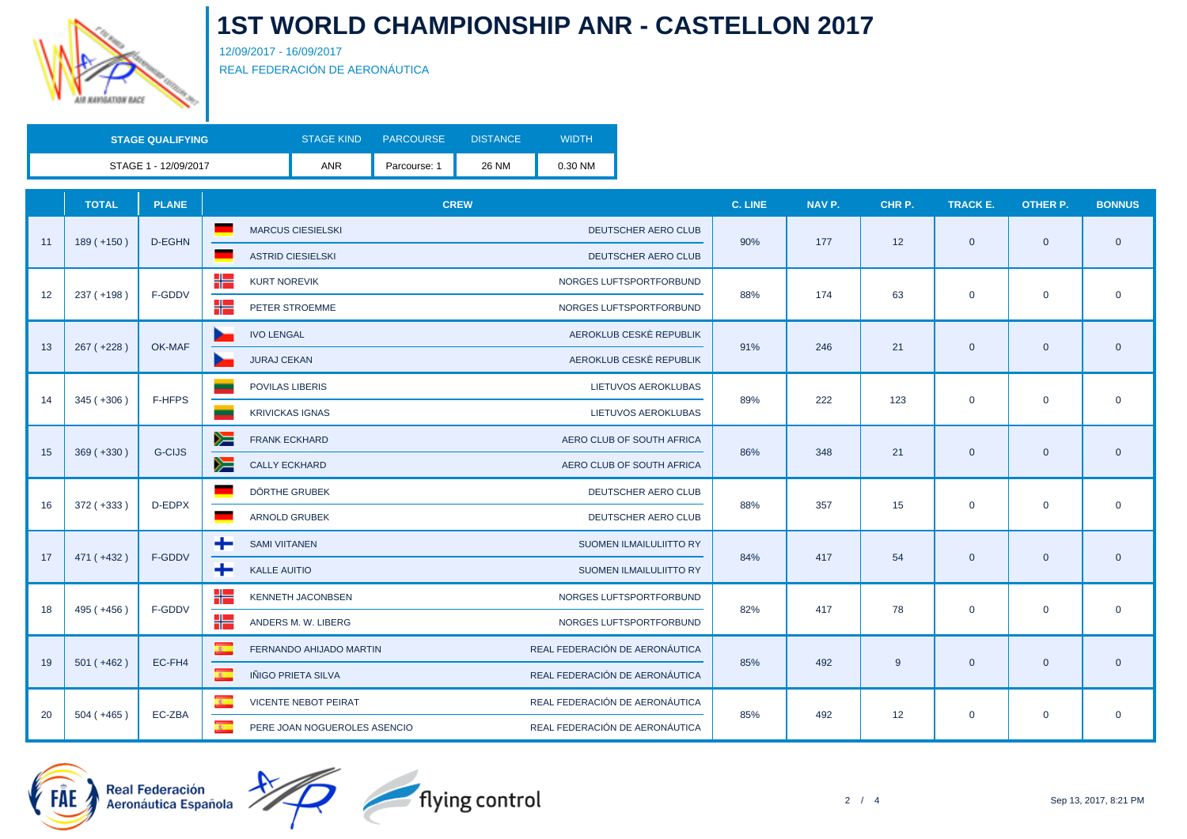

12/09/2017 - 16/09/2017 REAL FEDERACIÓN DE AERONÁUTICA

| <b>STAGE QUALIFYING</b> | <b>STAGE KIND</b> | <b>PARCOURSE</b> | <b>DISTANCE</b> | <b>WIDTH</b> |
|-------------------------|-------------------|------------------|-----------------|--------------|
| STAGE 1 - 12/09/2017    | <b>ANR</b>        | Parcourse: 1     | 26 NM           | 0.30 NM      |

|    | <b>TOTAL</b> | <b>PLANE</b>  | <b>CREW</b>                                                                                | <b>C. LINE</b> | NAV P. | CHR P. | <b>TRACK E.</b> | <b>OTHER P.</b> | <b>BONNUS</b>  |
|----|--------------|---------------|--------------------------------------------------------------------------------------------|----------------|--------|--------|-----------------|-----------------|----------------|
| 11 | $189 (+150)$ | D-EGHN        | MARCUS CIESIELSKI<br>DEUTSCHER AERO CLUB                                                   | 90%            | 177    | 12     | $\mathbf{0}$    | $\overline{0}$  |                |
|    |              |               | <b>ASTRID CIESIELSKI</b><br><b>DEUTSCHER AERO CLUB</b>                                     |                |        |        |                 |                 | $\overline{0}$ |
|    | $237 (+198)$ | F-GDDV        | ╬<br><b>KURT NOREVIK</b><br>NORGES LUFTSPORTFORBUND                                        | 88%            | 174    |        |                 |                 | $\overline{0}$ |
| 12 |              |               | ٢٢<br>PETER STROEMME<br>NORGES LUFTSPORTFORBUND                                            |                |        | 63     | $\mathbf 0$     | $\mathbf 0$     |                |
|    |              |               | AEROKLUB CESKÈ REPUBLIK<br><b>IVO LENGAL</b>                                               |                |        |        |                 |                 |                |
| 13 | $267 (+228)$ | OK-MAF        | AEROKLUB CESKÈ REPUBLIK<br><b>JURAJ CEKAN</b>                                              | 91%            | 246    | 21     | $\mathbf{0}$    | $\overline{0}$  | $\overline{0}$ |
|    |              |               | <b>POVILAS LIBERIS</b><br>LIETUVOS AEROKLUBAS                                              |                | 222    |        | $\mathbf 0$     | $\mathbf 0$     |                |
| 14 | $345 (+306)$ | F-HFPS        | <b>KRIVICKAS IGNAS</b><br>LIETUVOS AEROKLUBAS                                              | 89%            |        | 123    |                 |                 | $\mathbf 0$    |
|    |              |               | ➣<br><b>FRANK ECKHARD</b><br>AERO CLUB OF SOUTH AFRICA                                     |                |        | 21     | $\overline{0}$  | $\mathbf 0$     | $\overline{0}$ |
| 15 | $369 (+330)$ | <b>G-CIJS</b> | y≡<br><b>CALLY ECKHARD</b><br>AERO CLUB OF SOUTH AFRICA                                    | 86%            | 348    |        |                 |                 |                |
|    |              | D-EDPX        | DÖRTHE GRUBEK<br>DEUTSCHER AERO CLUB                                                       | 88%            | 357    | 15     | $\mathbf 0$     | $\mathbf 0$     |                |
| 16 | $372 (+333)$ |               | <b>ARNOLD GRUBEK</b><br>DEUTSCHER AERO CLUB                                                |                |        |        |                 |                 | $\mathbf 0$    |
| 17 | 471 (+432)   | F-GDDV        | ÷<br><b>SAMI VIITANEN</b><br>SUOMEN ILMAILULIITTO RY                                       | 84%            | 417    | 54     | $\mathbf{0}$    | $\overline{0}$  |                |
|    |              |               | ÷<br><b>KALLE AUITIO</b><br>SUOMEN ILMAILULIITTO RY                                        |                |        |        |                 |                 | $\overline{0}$ |
| 18 | 495 (+456)   | F-GDDV        | ₩<br>KENNETH JACONBSEN<br>NORGES LUFTSPORTFORBUND                                          | 82%            | 417    | 78     |                 | $\mathbf 0$     |                |
|    |              |               | ╬═<br>ANDERS M. W. LIBERG<br>NORGES LUFTSPORTFORBUND                                       |                |        |        | $\mathbf 0$     |                 | $\mathbf 0$    |
|    |              | EC-FH4        | $\overline{\mathbf{R}^{(0)}}$<br>REAL FEDERACIÓN DE AERONÁUTICA<br>FERNANDO AHIJADO MARTIN | 85%            | 492    |        |                 |                 |                |
| 19 | $501 (+462)$ |               | $\overline{\mathbf{z}}$<br>REAL FEDERACIÓN DE AERONÁUTICA<br>IÑIGO PRIETA SILVA            |                |        | 9      | $\overline{0}$  | $\overline{0}$  | $\overline{0}$ |
|    |              |               | $\overline{\mathbf{r}}$<br>REAL FEDERACIÓN DE AERONÁUTICA<br><b>VICENTE NEBOT PEIRAT</b>   |                |        |        |                 |                 |                |
| 20 | $504 (+465)$ | EC-ZBA        | REAL FEDERACIÓN DE AERONÁUTICA<br>$\overline{\mathbf{r}}$<br>PERE JOAN NOGUEROLES ASENCIO  | 85%            | 492    | 12     | $\mathbf 0$     | $\mathbf 0$     | $\mathbf 0$    |



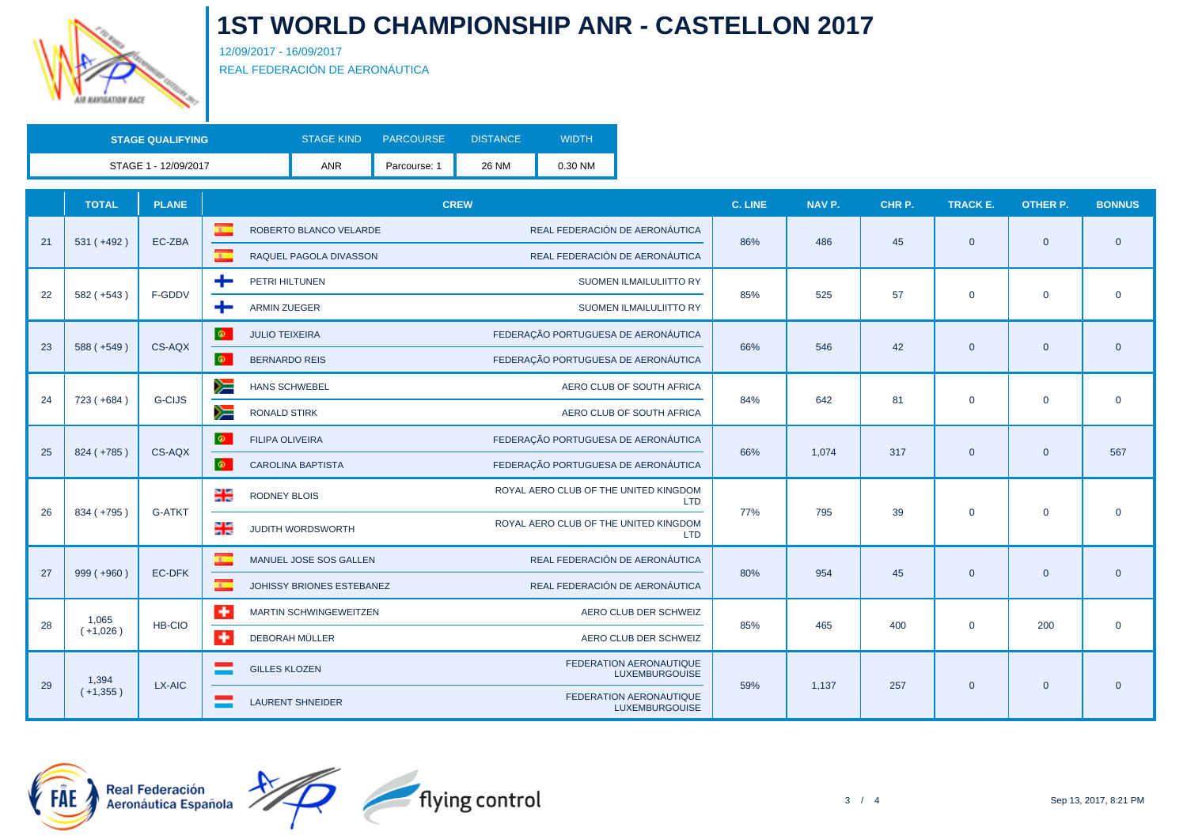

12/09/2017 - 16/09/2017 REAL FEDERACIÓN DE AERONÁUTICA

| <b>STAGE QUALIFYING</b> | <b>STAGE KIND</b> | <b>PARCOURSE</b> | DISTANCE | WIDTH'  |
|-------------------------|-------------------|------------------|----------|---------|
| STAGE 1 - 12/09/2017    | ANR               | Parcourse: 1     | 26 NM    | 0.30 NM |

|    | <b>TOTAL</b> | <b>PLANE</b>  | <b>CREW</b>                                                                                                 | <b>C. LINE</b> | NAV <sub>P.</sub> | CHR P. | TRACK E.       | <b>OTHER P.</b> | <b>BONNUS</b>  |
|----|--------------|---------------|-------------------------------------------------------------------------------------------------------------|----------------|-------------------|--------|----------------|-----------------|----------------|
| 21 | $531 (+492)$ | EC-ZBA        | REAL FEDERACIÓN DE AERONÁUTICA<br>$\overline{R}$<br>ROBERTO BLANCO VELARDE                                  | 86%            | 486               | 45     | $\overline{0}$ |                 | $\overline{0}$ |
|    |              |               | $\overline{R}$<br>REAL FEDERACIÓN DE AERONÁUTICA<br>RAQUEL PAGOLA DIVASSON                                  |                |                   |        |                | $\overline{0}$  |                |
| 22 | $582 (+543)$ | F-GDDV        | +<br>PETRI HILTUNEN<br>SUOMEN ILMAILULIITTO RY                                                              | 85%            | 525               | 57     | $\mathbf 0$    | $\mathbf 0$     | $\mathbf 0$    |
|    |              |               | <b>ARMIN ZUEGER</b><br>÷<br>SUOMEN ILMAILULIITTO RY                                                         |                |                   |        |                |                 |                |
|    |              | CS-AQX        | $\ddot{\phi}$<br>FEDERAÇÃO PORTUGUESA DE AERONÁUTICA<br><b>JULIO TEIXEIRA</b>                               | 66%            | 546               |        |                |                 |                |
| 23 | $588 (+549)$ |               | $\ddot{\phi}$<br>FEDERAÇÃO PORTUGUESA DE AERONÁUTICA<br><b>BERNARDO REIS</b>                                |                |                   | 42     | $\mathbf{0}$   | $\overline{0}$  | $\mathbf{0}$   |
| 24 |              | <b>G-CIJS</b> | ➣<br><b>HANS SCHWEBEL</b><br>AERO CLUB OF SOUTH AFRICA                                                      | 84%            | 642               | 81     | $\mathbf{0}$   | $\mathbf 0$     | $\mathbf 0$    |
|    | 723 (+684)   |               | y≡<br><b>RONALD STIRK</b><br>AERO CLUB OF SOUTH AFRICA                                                      |                |                   |        |                |                 |                |
|    |              | CS-AQX        | $\Phi$ .<br>FEDERAÇÃO PORTUGUESA DE AERONÁUTICA<br>FILIPA OLIVEIRA                                          | 66%            | 1,074             | 317    | $\overline{0}$ | $\overline{0}$  | 567            |
| 25 | $824 (+785)$ |               | $\Phi$<br>FEDERAÇÃO PORTUGUESA DE AERONÁUTICA<br><b>CAROLINA BAPTISTA</b>                                   |                |                   |        |                |                 |                |
| 26 | 834 (+795)   | <b>G-ATKT</b> | ROYAL AERO CLUB OF THE UNITED KINGDOM<br>믦<br><b>RODNEY BLOIS</b><br><b>LTD</b>                             | 77%            | 795               | 39     | $\mathbf 0$    | $\mathbf 0$     | $\mathbf 0$    |
|    |              |               | ROYAL AERO CLUB OF THE UNITED KINGDOM<br>을<br>JUDITH WORDSWORTH<br><b>LTD</b>                               |                |                   |        |                |                 |                |
| 27 | $999 (+960)$ | EC-DFK        | $\overline{\mathbf{S}^{\text{in}}_{\text{in}}}$<br>REAL FEDERACIÓN DE AERONÁUTICA<br>MANUEL JOSE SOS GALLEN | 80%            | 954               | 45     | $\mathbf{0}$   | $\mathbf{0}$    | $\mathbf{0}$   |
|    |              |               | $\alpha$<br>REAL FEDERACIÓN DE AERONÁUTICA<br>JOHISSY BRIONES ESTEBANEZ                                     |                |                   |        |                |                 |                |
| 28 | 1,065        | HB-CIO        | ۰<br>MARTIN SCHWINGEWEITZEN<br>AERO CLUB DER SCHWEIZ                                                        | 85%            |                   |        | $\mathbf 0$    | 200             |                |
|    | $(+1,026)$   |               | ٠<br>DEBORAH MÜLLER<br>AERO CLUB DER SCHWEIZ                                                                |                | 465               | 400    |                |                 | $\mathbf 0$    |
| 29 | 1,394        |               | FEDERATION AERONAUTIQUE<br><b>GILLES KLOZEN</b><br><b>LUXEMBURGOUISE</b>                                    | 59%            | 1,137             | 257    |                |                 | $\mathbf{0}$   |
|    | $(+1,355)$   | LX-AIC        | FEDERATION AERONAUTIQUE<br><b>LAURENT SHNEIDER</b><br><b>LUXEMBURGOUISE</b>                                 |                |                   |        | $\mathbf{0}$   | $\mathbf{0}$    |                |